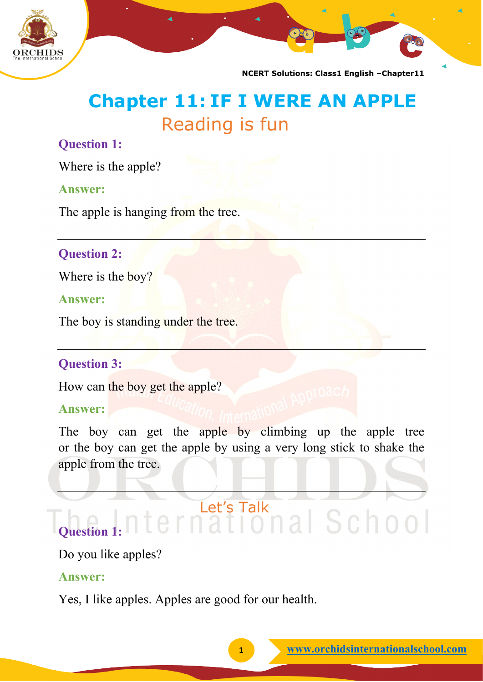

# **Chapter 11: IF I WERE AN APPLE** Reading is fun

### **Question 1:**

Where is the apple?

#### **Answer:**

The apple is hanging from the tree.

## **Question 2:**

Where is the boy?

#### **Answer:**

The boy is standing under the tree.

#### **Question 3:**

How can the boy get the apple?

#### **Answer:**

The boy can get the apple by climbing up the apple tree or the boy can get the apple by using a very long stick to shake the apple from the tree.

# ernational School **Question 1:**

## Do you like apples?

#### **Answer:**

Yes, I like apples. Apples are good for our health.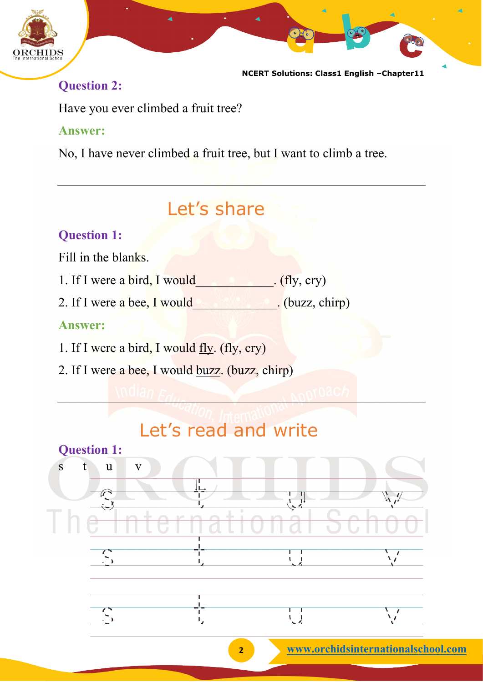

## **Question 2:**

Have you ever climbed a fruit tree?

## **Answer:**

No, I have never climbed a fruit tree, but I want to climb a tree.

# Let's share

## **Question 1:**

Fill in the blanks.

- 1. If I were a bird, I would  $(fly, cry)$
- 2. If I were a bee, I would  $\qquad \qquad$  (buzz, chirp)

## **Answer:**

- 1. If I were a bird, I would  $fly. (fly, cry)$
- 2. If I were a bee, I would buzz. (buzz, chirp)

# Let's read and write

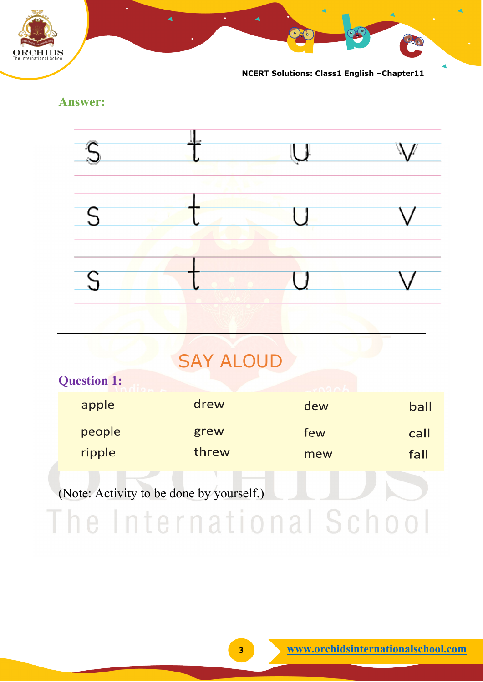

**Answer:**



# **SAY ALOUD**

| <b>Question 1:</b>                       |       | $\sqrt{206}$ |      |
|------------------------------------------|-------|--------------|------|
| apple                                    | drew  | dew          | ball |
| people                                   | grew  | few          | call |
| ripple                                   | threw | mew          | fall |
| (Note: Activity to be done by yourself.) |       |              |      |

The International School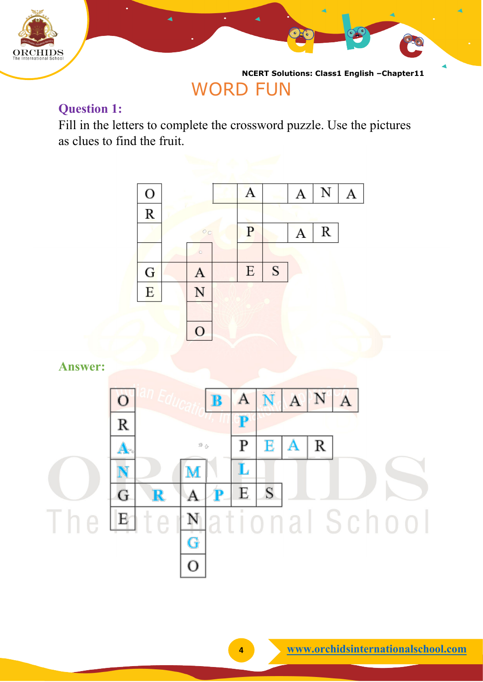

# WORD FUN

## **Question 1:**

Fill in the letters to complete the crossword puzzle. Use the pictures as clues to find the fruit.



**Answer:**